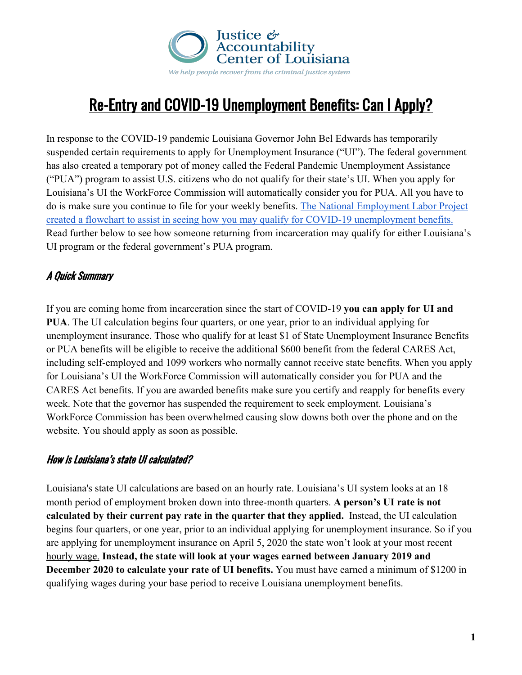

# Re-Entry and COVID-19 Unemployment Benefits: Can I Apply?

In response to the COVID-19 pandemic Louisiana Governor John Bel Edwards has temporarily suspended certain requirements to apply for Unemployment Insurance ("UI"). The federal government has also created a temporary pot of money called the Federal Pandemic Unemployment Assistance ("PUA") program to assist U.S. citizens who do not qualify for their state's UI. When you apply for Louisiana's UI the WorkForce Commission will automatically consider you for PUA. All you have to do is make sure you continue to file for your weekly benefits. The National Employment Labor Project created a flowchart to assist in seeing how you may qualify for COVID-19 unemployment benefits. Read further below to see how someone returning from incarceration may qualify for either Louisiana's UI program or the federal government's PUA program.

# A Quick Summary

If you are coming home from incarceration since the start of COVID-19 **you can apply for UI and PUA**. The UI calculation begins four quarters, or one year, prior to an individual applying for unemployment insurance. Those who qualify for at least \$1 of State Unemployment Insurance Benefits or PUA benefits will be eligible to receive the additional \$600 benefit from the federal CARES Act, including self-employed and 1099 workers who normally cannot receive state benefits. When you apply for Louisiana's UI the WorkForce Commission will automatically consider you for PUA and the CARES Act benefits. If you are awarded benefits make sure you certify and reapply for benefits every week. Note that the governor has suspended the requirement to seek employment. Louisiana's WorkForce Commission has been overwhelmed causing slow downs both over the phone and on the website. You should apply as soon as possible.

# How is Louisiana's state UI calculated?

Louisiana's state UI calculations are based on an hourly rate. Louisiana's UI system looks at an 18 month period of employment broken down into three-month quarters. **A person's UI rate is not calculated by their current pay rate in the quarter that they applied.** Instead, the UI calculation begins four quarters, or one year, prior to an individual applying for unemployment insurance. So if you are applying for unemployment insurance on April 5, 2020 the state won't look at your most recent hourly wage. **Instead, the state will look at your wages earned between January 2019 and December 2020 to calculate your rate of UI benefits.** You must have earned a minimum of \$1200 in qualifying wages during your base period to receive Louisiana unemployment benefits.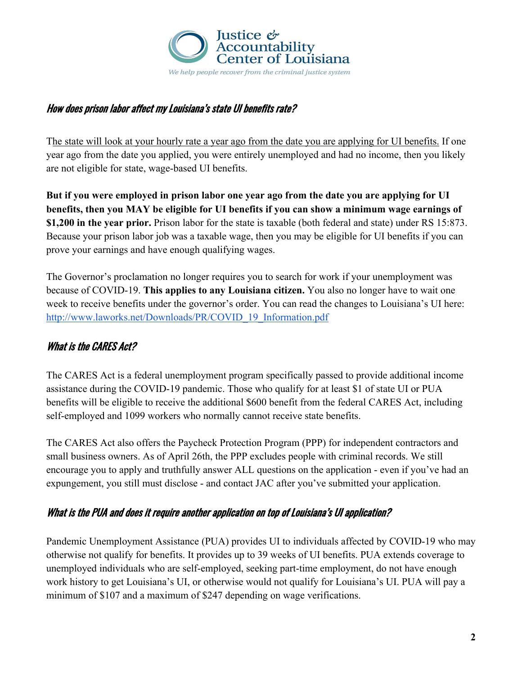

# How does prison labor affect my Louisiana's state UI benefits rate?

The state will look at your hourly rate a year ago from the date you are applying for UI benefits. If one year ago from the date you applied, you were entirely unemployed and had no income, then you likely are not eligible for state, wage-based UI benefits.

**But if you were employed in prison labor one year ago from the date you are applying for UI benefits, then you MAY be eligible for UI benefits if you can show a minimum wage earnings of \$1,200 in the year prior.** Prison labor for the state is taxable (both federal and state) under RS 15:873. Because your prison labor job was a taxable wage, then you may be eligible for UI benefits if you can prove your earnings and have enough qualifying wages.

The Governor's proclamation no longer requires you to search for work if your unemployment was because of COVID-19. **This applies to any Louisiana citizen.** You also no longer have to wait one week to receive benefits under the governor's order. You can read the changes to Louisiana's UI here: http://www.laworks.net/Downloads/PR/COVID\_19\_Information.pdf

# What is the CARES Act?

The CARES Act is a federal unemployment program specifically passed to provide additional income assistance during the COVID-19 pandemic. Those who qualify for at least \$1 of state UI or PUA benefits will be eligible to receive the additional \$600 benefit from the federal CARES Act, including self-employed and 1099 workers who normally cannot receive state benefits.

The CARES Act also offers the Paycheck Protection Program (PPP) for independent contractors and small business owners. As of April 26th, the PPP excludes people with criminal records. We still encourage you to apply and truthfully answer ALL questions on the application - even if you've had an expungement, you still must disclose - and contact JAC after you've submitted your application.

# What is the PUA and does it require another application on top of Louisiana's UI application?

Pandemic Unemployment Assistance (PUA) provides UI to individuals affected by COVID-19 who may otherwise not qualify for benefits. It provides up to 39 weeks of UI benefits. PUA extends coverage to unemployed individuals who are self-employed, seeking part-time employment, do not have enough work history to get Louisiana's UI, or otherwise would not qualify for Louisiana's UI. PUA will pay a minimum of \$107 and a maximum of \$247 depending on wage verifications.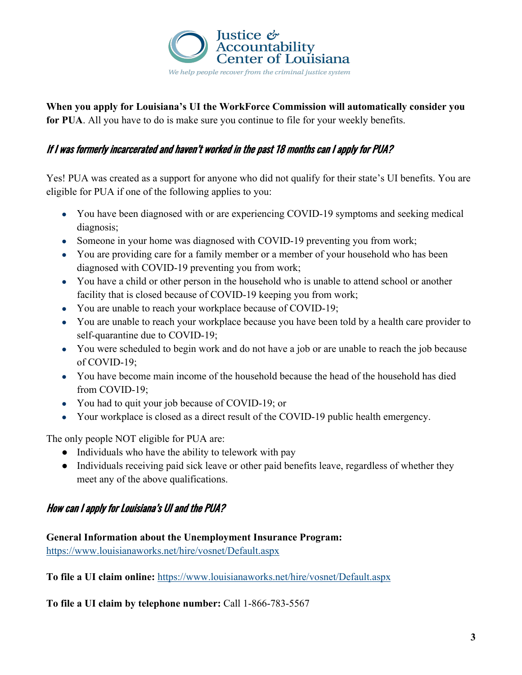

**When you apply for Louisiana's UI the WorkForce Commission will automatically consider you for PUA**. All you have to do is make sure you continue to file for your weekly benefits.

# If I was formerly incarcerated and haven't worked in the past 18 months can I apply for PUA?

Yes! PUA was created as a support for anyone who did not qualify for their state's UI benefits. You are eligible for PUA if one of the following applies to you:

- **●** You have been diagnosed with or are experiencing COVID-19 symptoms and seeking medical diagnosis;
- Someone in your home was diagnosed with COVID-19 preventing you from work;
- **●** You are providing care for a family member or a member of your household who has been diagnosed with COVID-19 preventing you from work;
- **●** You have a child or other person in the household who is unable to attend school or another facility that is closed because of COVID-19 keeping you from work;
- **●** You are unable to reach your workplace because of COVID-19;
- **●** You are unable to reach your workplace because you have been told by a health care provider to self-quarantine due to COVID-19;
- **●** You were scheduled to begin work and do not have a job or are unable to reach the job because of COVID-19;
- **●** You have become main income of the household because the head of the household has died from COVID-19;
- **●** You had to quit your job because of COVID-19; or
- Your workplace is closed as a direct result of the COVID-19 public health emergency.

The only people NOT eligible for PUA are:

- Individuals who have the ability to telework with pay
- Individuals receiving paid sick leave or other paid benefits leave, regardless of whether they meet any of the above qualifications.

# How can I apply for Louisiana's UI and the PUA?

**General Information about the Unemployment Insurance Program:** 

https://www.louisianaworks.net/hire/vosnet/Default.aspx

**To file a UI claim online:** https://www.louisianaworks.net/hire/vosnet/Default.aspx

**To file a UI claim by telephone number:** Call 1-866-783-5567